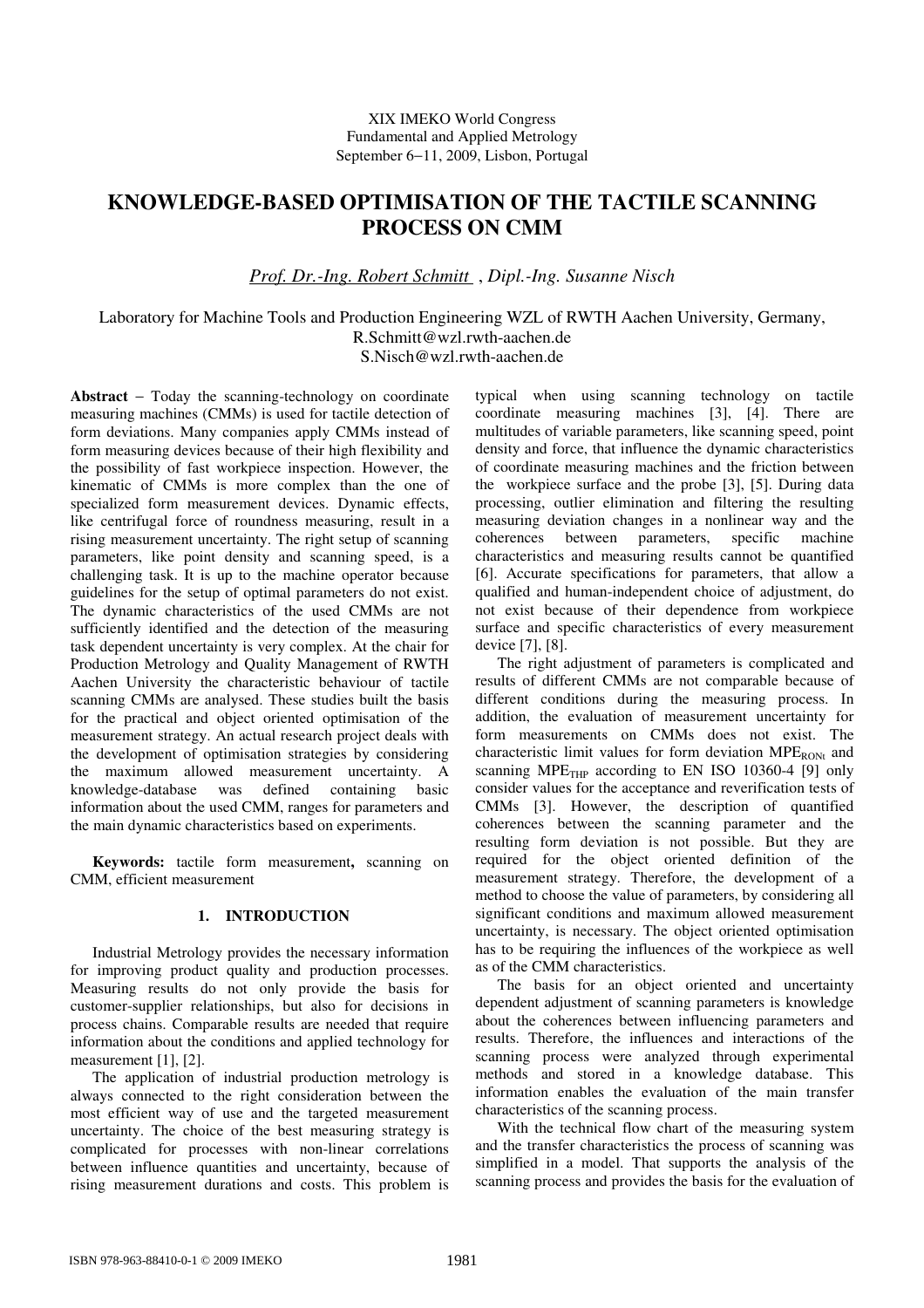# **KNOWLEDGE-BASED OPTIMISATION OF THE TACTILE SCANNING PROCESS ON CMM**

*Prof. Dr.-Ing. Robert Schmitt* , *Dipl.-Ing. Susanne Nisch* 

Laboratory for Machine Tools and Production Engineering WZL of RWTH Aachen University, Germany, R.Schmitt@wzl.rwth-aachen.de S.Nisch@wzl.rwth-aachen.de

**Abstract** − Today the scanning-technology on coordinate measuring machines (CMMs) is used for tactile detection of form deviations. Many companies apply CMMs instead of form measuring devices because of their high flexibility and the possibility of fast workpiece inspection. However, the kinematic of CMMs is more complex than the one of specialized form measurement devices. Dynamic effects, like centrifugal force of roundness measuring, result in a rising measurement uncertainty. The right setup of scanning parameters, like point density and scanning speed, is a challenging task. It is up to the machine operator because guidelines for the setup of optimal parameters do not exist. The dynamic characteristics of the used CMMs are not sufficiently identified and the detection of the measuring task dependent uncertainty is very complex. At the chair for Production Metrology and Quality Management of RWTH Aachen University the characteristic behaviour of tactile scanning CMMs are analysed. These studies built the basis for the practical and object oriented optimisation of the measurement strategy. An actual research project deals with the development of optimisation strategies by considering the maximum allowed measurement uncertainty. A knowledge-database was defined containing basic information about the used CMM, ranges for parameters and the main dynamic characteristics based on experiments.

**Keywords:** tactile form measurement**,** scanning on CMM, efficient measurement

### **1. INTRODUCTION**

Industrial Metrology provides the necessary information for improving product quality and production processes. Measuring results do not only provide the basis for customer-supplier relationships, but also for decisions in process chains. Comparable results are needed that require information about the conditions and applied technology for measurement [1], [2].

The application of industrial production metrology is always connected to the right consideration between the most efficient way of use and the targeted measurement uncertainty. The choice of the best measuring strategy is complicated for processes with non-linear correlations between influence quantities and uncertainty, because of rising measurement durations and costs. This problem is

typical when using scanning technology on tactile coordinate measuring machines [3], [4]. There are multitudes of variable parameters, like scanning speed, point density and force, that influence the dynamic characteristics of coordinate measuring machines and the friction between the workpiece surface and the probe [3], [5]. During data processing, outlier elimination and filtering the resulting measuring deviation changes in a nonlinear way and the coherences between parameters, specific machine characteristics and measuring results cannot be quantified [6]. Accurate specifications for parameters, that allow a qualified and human-independent choice of adjustment, do not exist because of their dependence from workpiece surface and specific characteristics of every measurement device [7], [8].

The right adjustment of parameters is complicated and results of different CMMs are not comparable because of different conditions during the measuring process. In addition, the evaluation of measurement uncertainty for form measurements on CMMs does not exist. The characteristic limit values for form deviation  $MPE_{RONt}$  and scanning  $MPE$ <sub>THP</sub> according to EN ISO 10360-4 [9] only consider values for the acceptance and reverification tests of CMMs [3]. However, the description of quantified coherences between the scanning parameter and the resulting form deviation is not possible. But they are required for the object oriented definition of the measurement strategy. Therefore, the development of a method to choose the value of parameters, by considering all significant conditions and maximum allowed measurement uncertainty, is necessary. The object oriented optimisation has to be requiring the influences of the workpiece as well as of the CMM characteristics.

The basis for an object oriented and uncertainty dependent adjustment of scanning parameters is knowledge about the coherences between influencing parameters and results. Therefore, the influences and interactions of the scanning process were analyzed through experimental methods and stored in a knowledge database. This information enables the evaluation of the main transfer characteristics of the scanning process.

With the technical flow chart of the measuring system and the transfer characteristics the process of scanning was simplified in a model. That supports the analysis of the scanning process and provides the basis for the evaluation of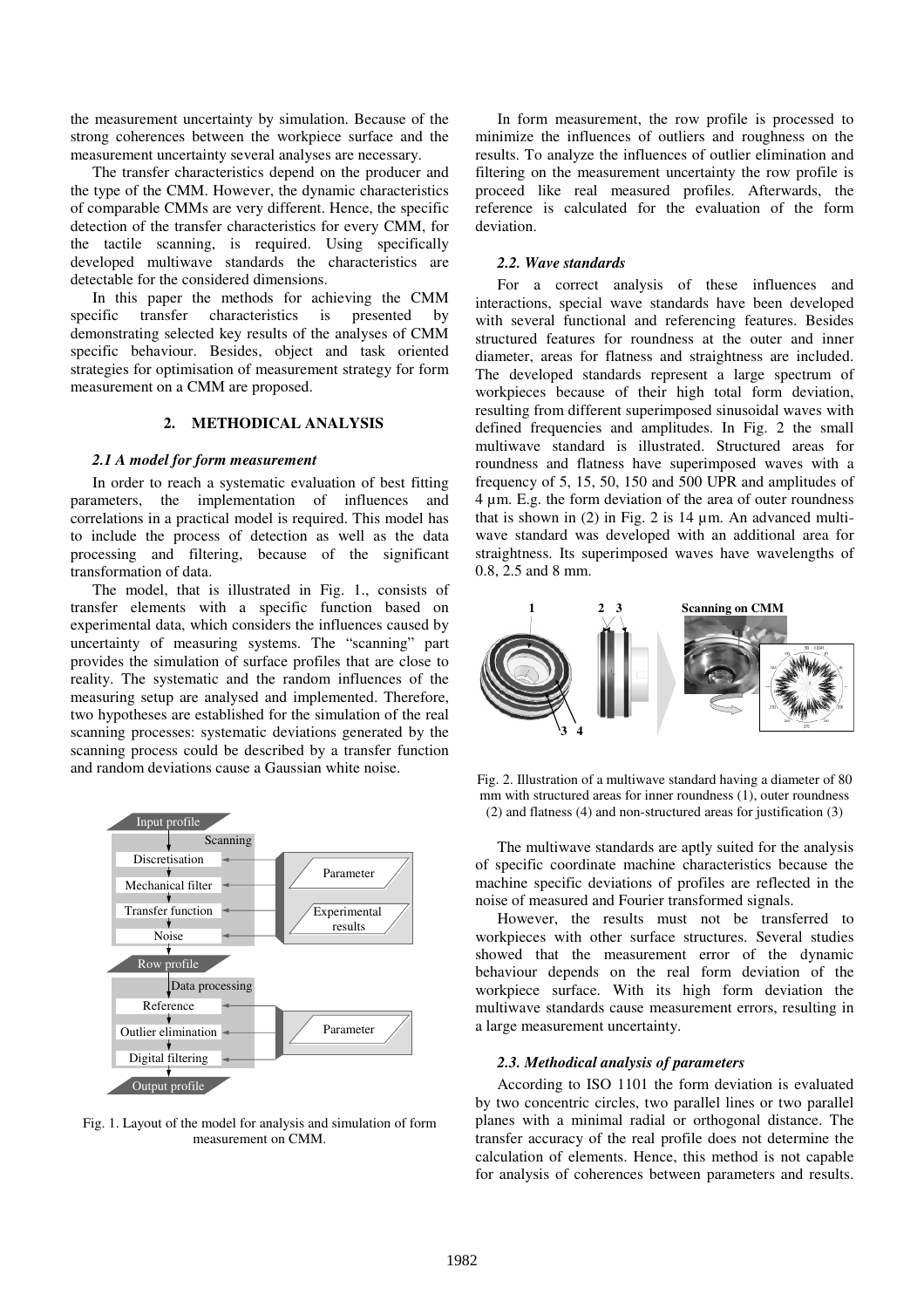the measurement uncertainty by simulation. Because of the strong coherences between the workpiece surface and the measurement uncertainty several analyses are necessary.

The transfer characteristics depend on the producer and the type of the CMM. However, the dynamic characteristics of comparable CMMs are very different. Hence, the specific detection of the transfer characteristics for every CMM, for the tactile scanning, is required. Using specifically developed multiwave standards the characteristics are detectable for the considered dimensions.

In this paper the methods for achieving the CMM<br>cific transfer characteristics is presented by specific transfer characteristics is presented by demonstrating selected key results of the analyses of CMM specific behaviour. Besides, object and task oriented strategies for optimisation of measurement strategy for form measurement on a CMM are proposed.

# **2. METHODICAL ANALYSIS**

#### *2.1 A model for form measurement*

In order to reach a systematic evaluation of best fitting parameters, the implementation of influences and correlations in a practical model is required. This model has to include the process of detection as well as the data processing and filtering, because of the significant transformation of data.

The model, that is illustrated in Fig. 1., consists of transfer elements with a specific function based on experimental data, which considers the influences caused by uncertainty of measuring systems. The "scanning" part provides the simulation of surface profiles that are close to reality. The systematic and the random influences of the measuring setup are analysed and implemented. Therefore, two hypotheses are established for the simulation of the real scanning processes: systematic deviations generated by the scanning process could be described by a transfer function and random deviations cause a Gaussian white noise.



Fig. 1. Layout of the model for analysis and simulation of form measurement on CMM.

In form measurement, the row profile is processed to minimize the influences of outliers and roughness on the results. To analyze the influences of outlier elimination and filtering on the measurement uncertainty the row profile is proceed like real measured profiles. Afterwards, the reference is calculated for the evaluation of the form deviation.

#### *2.2. Wave standards*

For a correct analysis of these influences and interactions, special wave standards have been developed with several functional and referencing features. Besides structured features for roundness at the outer and inner diameter, areas for flatness and straightness are included. The developed standards represent a large spectrum of workpieces because of their high total form deviation, resulting from different superimposed sinusoidal waves with defined frequencies and amplitudes. In Fig. 2 the small multiwave standard is illustrated. Structured areas for roundness and flatness have superimposed waves with a frequency of 5, 15, 50, 150 and 500 UPR and amplitudes of 4 µm. E.g. the form deviation of the area of outer roundness that is shown in  $(2)$  in Fig. 2 is 14  $\mu$ m. An advanced multiwave standard was developed with an additional area for straightness. Its superimposed waves have wavelengths of 0.8, 2.5 and 8 mm.



Fig. 2. Illustration of a multiwave standard having a diameter of 80 mm with structured areas for inner roundness (1), outer roundness (2) and flatness (4) and non-structured areas for justification (3)

The multiwave standards are aptly suited for the analysis of specific coordinate machine characteristics because the machine specific deviations of profiles are reflected in the noise of measured and Fourier transformed signals.

However, the results must not be transferred to workpieces with other surface structures. Several studies showed that the measurement error of the dynamic behaviour depends on the real form deviation of the workpiece surface. With its high form deviation the multiwave standards cause measurement errors, resulting in a large measurement uncertainty.

#### *2.3. Methodical analysis of parameters*

According to ISO 1101 the form deviation is evaluated by two concentric circles, two parallel lines or two parallel planes with a minimal radial or orthogonal distance. The transfer accuracy of the real profile does not determine the calculation of elements. Hence, this method is not capable for analysis of coherences between parameters and results.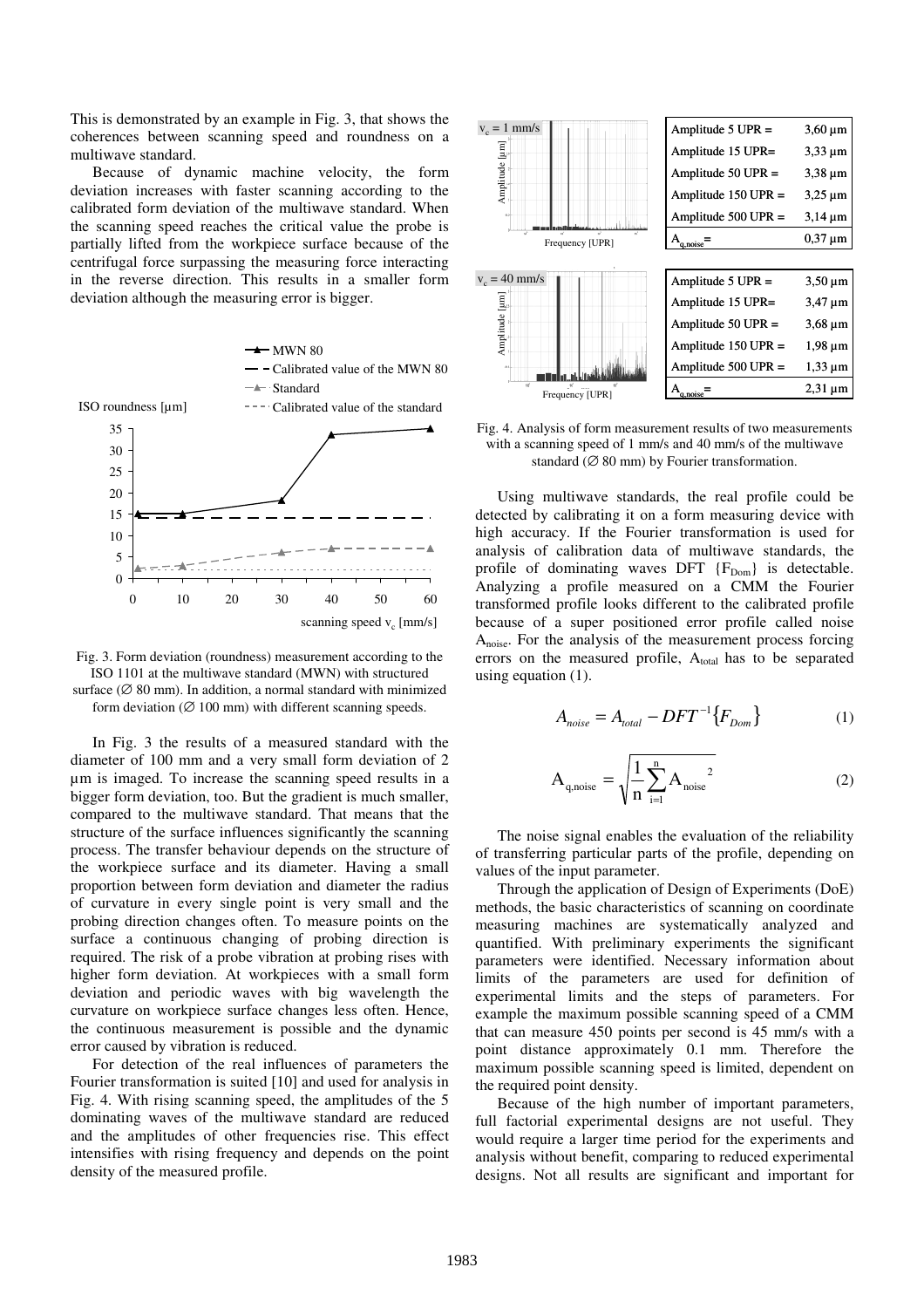This is demonstrated by an example in Fig. 3, that shows the coherences between scanning speed and roundness on a multiwave standard.

Because of dynamic machine velocity, the form deviation increases with faster scanning according to the calibrated form deviation of the multiwave standard. When the scanning speed reaches the critical value the probe is partially lifted from the workpiece surface because of the centrifugal force surpassing the measuring force interacting in the reverse direction. This results in a smaller form deviation although the measuring error is bigger.





In Fig. 3 the results of a measured standard with the diameter of 100 mm and a very small form deviation of 2 µm is imaged. To increase the scanning speed results in a bigger form deviation, too. But the gradient is much smaller, compared to the multiwave standard. That means that the structure of the surface influences significantly the scanning process. The transfer behaviour depends on the structure of the workpiece surface and its diameter. Having a small proportion between form deviation and diameter the radius of curvature in every single point is very small and the probing direction changes often. To measure points on the surface a continuous changing of probing direction is required. The risk of a probe vibration at probing rises with higher form deviation. At workpieces with a small form deviation and periodic waves with big wavelength the curvature on workpiece surface changes less often. Hence, the continuous measurement is possible and the dynamic error caused by vibration is reduced.

For detection of the real influences of parameters the Fourier transformation is suited [10] and used for analysis in Fig. 4. With rising scanning speed, the amplitudes of the 5 dominating waves of the multiwave standard are reduced and the amplitudes of other frequencies rise. This effect intensifies with rising frequency and depends on the point density of the measured profile.



Fig. 4. Analysis of form measurement results of two measurements with a scanning speed of 1 mm/s and 40 mm/s of the multiwave standard ( $\varnothing$  80 mm) by Fourier transformation.

Using multiwave standards, the real profile could be detected by calibrating it on a form measuring device with high accuracy. If the Fourier transformation is used for analysis of calibration data of multiwave standards, the profile of dominating waves DFT  ${F_{Dom}}$  is detectable. Analyzing a profile measured on a CMM the Fourier transformed profile looks different to the calibrated profile because of a super positioned error profile called noise Anoise. For the analysis of the measurement process forcing errors on the measured profile,  $A<sub>total</sub>$  has to be separated using equation  $(1)$ .

$$
A_{noise} = A_{total} - DFT^{-1}\{F_{Dom}\}
$$
 (1)

$$
A_{q,\text{noise}} = \sqrt{\frac{1}{n} \sum_{i=1}^{n} A_{\text{noise}}^2}
$$
 (2)

The noise signal enables the evaluation of the reliability of transferring particular parts of the profile, depending on values of the input parameter.

Through the application of Design of Experiments (DoE) methods, the basic characteristics of scanning on coordinate measuring machines are systematically analyzed and quantified. With preliminary experiments the significant parameters were identified. Necessary information about limits of the parameters are used for definition of experimental limits and the steps of parameters. For example the maximum possible scanning speed of a CMM that can measure 450 points per second is 45 mm/s with a point distance approximately 0.1 mm. Therefore the maximum possible scanning speed is limited, dependent on the required point density.

Because of the high number of important parameters, full factorial experimental designs are not useful. They would require a larger time period for the experiments and analysis without benefit, comparing to reduced experimental designs. Not all results are significant and important for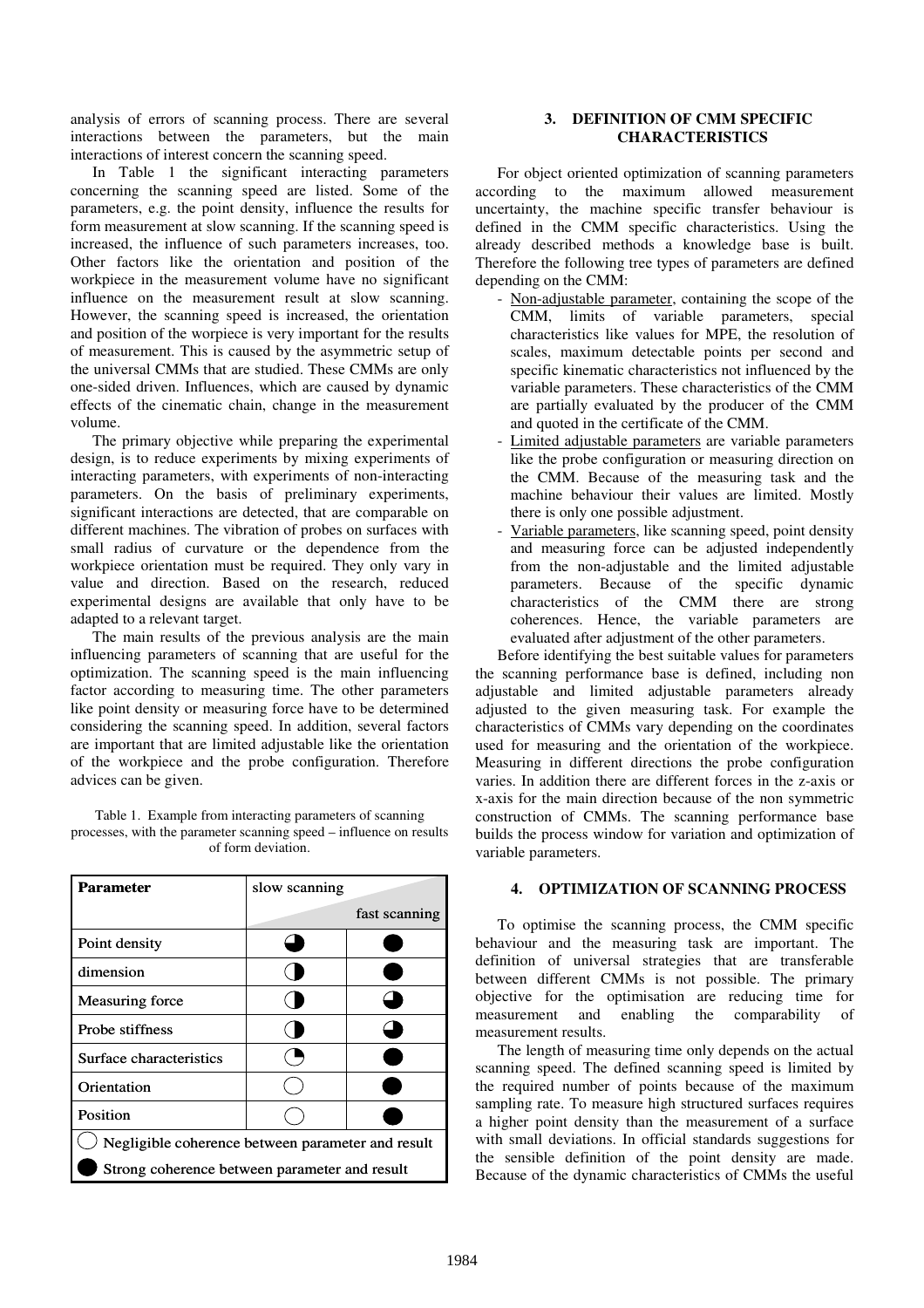analysis of errors of scanning process. There are several interactions between the parameters, but the main interactions of interest concern the scanning speed.

In Table 1 the significant interacting parameters concerning the scanning speed are listed. Some of the parameters, e.g. the point density, influence the results for form measurement at slow scanning. If the scanning speed is increased, the influence of such parameters increases, too. Other factors like the orientation and position of the workpiece in the measurement volume have no significant influence on the measurement result at slow scanning. However, the scanning speed is increased, the orientation and position of the worpiece is very important for the results of measurement. This is caused by the asymmetric setup of the universal CMMs that are studied. These CMMs are only one-sided driven. Influences, which are caused by dynamic effects of the cinematic chain, change in the measurement volume.

The primary objective while preparing the experimental design, is to reduce experiments by mixing experiments of interacting parameters, with experiments of non-interacting parameters. On the basis of preliminary experiments, significant interactions are detected, that are comparable on different machines. The vibration of probes on surfaces with small radius of curvature or the dependence from the workpiece orientation must be required. They only vary in value and direction. Based on the research, reduced experimental designs are available that only have to be adapted to a relevant target.

The main results of the previous analysis are the main influencing parameters of scanning that are useful for the optimization. The scanning speed is the main influencing factor according to measuring time. The other parameters like point density or measuring force have to be determined considering the scanning speed. In addition, several factors are important that are limited adjustable like the orientation of the workpiece and the probe configuration. Therefore advices can be given.

Table 1. Example from interacting parameters of scanning processes, with the parameter scanning speed – influence on results of form deviation.

| <b>Parameter</b>                                  | slow scanning |               |
|---------------------------------------------------|---------------|---------------|
|                                                   |               | fast scanning |
| Point density                                     |               |               |
| dimension                                         |               |               |
| <b>Measuring force</b>                            |               |               |
| Probe stiffness                                   |               |               |
| Surface characteristics                           |               |               |
| Orientation                                       |               |               |
| Position                                          |               |               |
| Negligible coherence between parameter and result |               |               |
| Strong coherence between parameter and result     |               |               |

# **3. DEFINITION OF CMM SPECIFIC CHARACTERISTICS**

For object oriented optimization of scanning parameters according to the maximum allowed measurement uncertainty, the machine specific transfer behaviour is defined in the CMM specific characteristics. Using the already described methods a knowledge base is built. Therefore the following tree types of parameters are defined depending on the CMM:

- Non-adjustable parameter, containing the scope of the CMM, limits of variable parameters, special characteristics like values for MPE, the resolution of scales, maximum detectable points per second and specific kinematic characteristics not influenced by the variable parameters. These characteristics of the CMM are partially evaluated by the producer of the CMM and quoted in the certificate of the CMM.
- Limited adjustable parameters are variable parameters like the probe configuration or measuring direction on the CMM. Because of the measuring task and the machine behaviour their values are limited. Mostly there is only one possible adjustment.
- Variable parameters, like scanning speed, point density and measuring force can be adjusted independently from the non-adjustable and the limited adjustable parameters. Because of the specific dynamic characteristics of the CMM there are strong coherences. Hence, the variable parameters are evaluated after adjustment of the other parameters.

Before identifying the best suitable values for parameters the scanning performance base is defined, including non adjustable and limited adjustable parameters already adjusted to the given measuring task. For example the characteristics of CMMs vary depending on the coordinates used for measuring and the orientation of the workpiece. Measuring in different directions the probe configuration varies. In addition there are different forces in the z-axis or x-axis for the main direction because of the non symmetric construction of CMMs. The scanning performance base builds the process window for variation and optimization of variable parameters.

# **4. OPTIMIZATION OF SCANNING PROCESS**

To optimise the scanning process, the CMM specific behaviour and the measuring task are important. The definition of universal strategies that are transferable between different CMMs is not possible. The primary objective for the optimisation are reducing time for measurement and enabling the comparability of measurement results.

The length of measuring time only depends on the actual scanning speed. The defined scanning speed is limited by the required number of points because of the maximum sampling rate. To measure high structured surfaces requires a higher point density than the measurement of a surface with small deviations. In official standards suggestions for the sensible definition of the point density are made. Because of the dynamic characteristics of CMMs the useful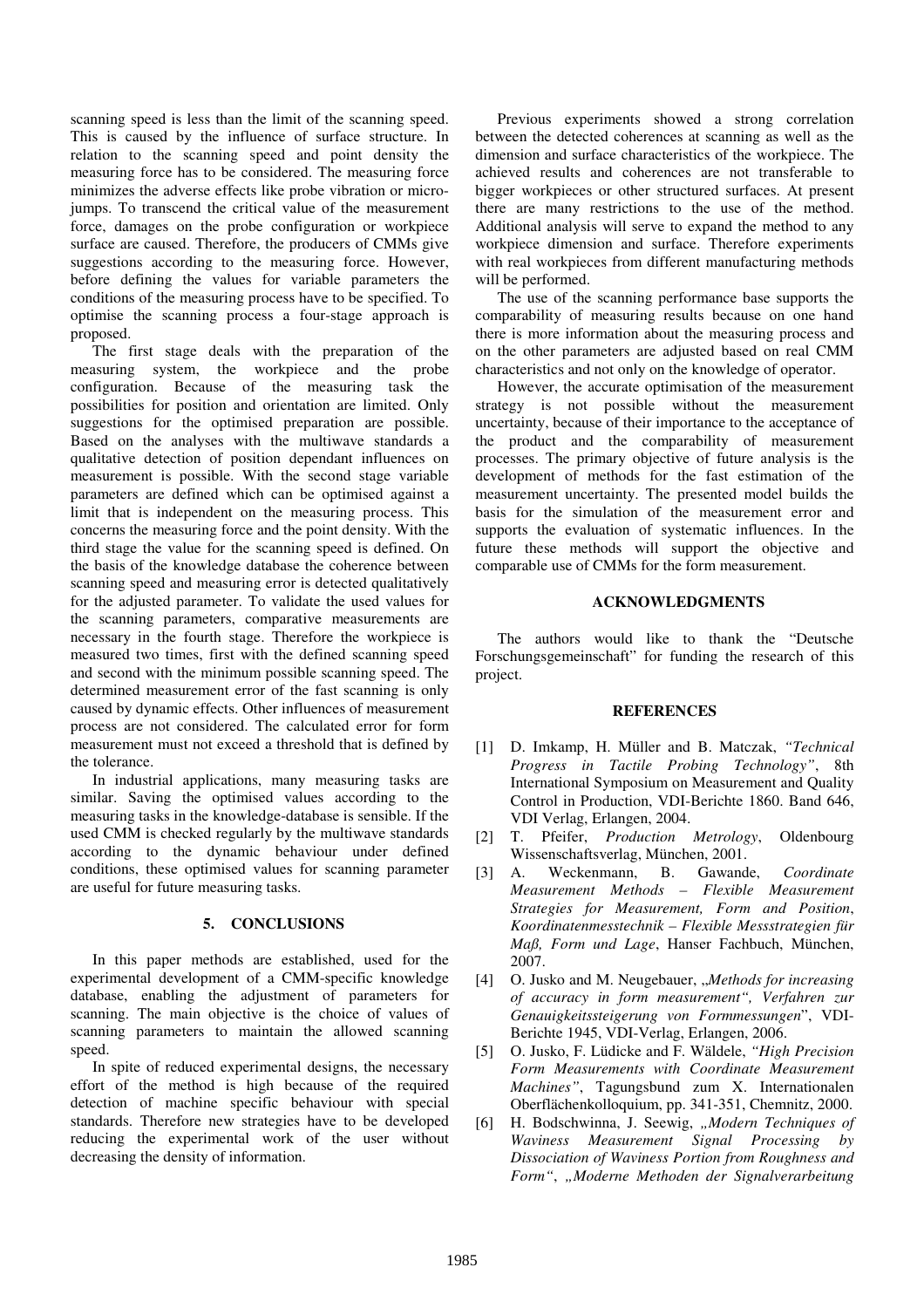scanning speed is less than the limit of the scanning speed. This is caused by the influence of surface structure. In relation to the scanning speed and point density the measuring force has to be considered. The measuring force minimizes the adverse effects like probe vibration or microjumps. To transcend the critical value of the measurement force, damages on the probe configuration or workpiece surface are caused. Therefore, the producers of CMMs give suggestions according to the measuring force. However, before defining the values for variable parameters the conditions of the measuring process have to be specified. To optimise the scanning process a four-stage approach is proposed.

The first stage deals with the preparation of the measuring system, the workpiece and the probe configuration. Because of the measuring task the possibilities for position and orientation are limited. Only suggestions for the optimised preparation are possible. Based on the analyses with the multiwave standards a qualitative detection of position dependant influences on measurement is possible. With the second stage variable parameters are defined which can be optimised against a limit that is independent on the measuring process. This concerns the measuring force and the point density. With the third stage the value for the scanning speed is defined. On the basis of the knowledge database the coherence between scanning speed and measuring error is detected qualitatively for the adjusted parameter. To validate the used values for the scanning parameters, comparative measurements are necessary in the fourth stage. Therefore the workpiece is measured two times, first with the defined scanning speed and second with the minimum possible scanning speed. The determined measurement error of the fast scanning is only caused by dynamic effects. Other influences of measurement process are not considered. The calculated error for form measurement must not exceed a threshold that is defined by the tolerance.

In industrial applications, many measuring tasks are similar. Saving the optimised values according to the measuring tasks in the knowledge-database is sensible. If the used CMM is checked regularly by the multiwave standards according to the dynamic behaviour under defined conditions, these optimised values for scanning parameter are useful for future measuring tasks.

## **5. CONCLUSIONS**

In this paper methods are established, used for the experimental development of a CMM-specific knowledge database, enabling the adjustment of parameters for scanning. The main objective is the choice of values of scanning parameters to maintain the allowed scanning speed.

In spite of reduced experimental designs, the necessary effort of the method is high because of the required detection of machine specific behaviour with special standards. Therefore new strategies have to be developed reducing the experimental work of the user without decreasing the density of information.

Previous experiments showed a strong correlation between the detected coherences at scanning as well as the dimension and surface characteristics of the workpiece. The achieved results and coherences are not transferable to bigger workpieces or other structured surfaces. At present there are many restrictions to the use of the method. Additional analysis will serve to expand the method to any workpiece dimension and surface. Therefore experiments with real workpieces from different manufacturing methods will be performed.

The use of the scanning performance base supports the comparability of measuring results because on one hand there is more information about the measuring process and on the other parameters are adjusted based on real CMM characteristics and not only on the knowledge of operator.

However, the accurate optimisation of the measurement strategy is not possible without the measurement uncertainty, because of their importance to the acceptance of the product and the comparability of measurement processes. The primary objective of future analysis is the development of methods for the fast estimation of the measurement uncertainty. The presented model builds the basis for the simulation of the measurement error and supports the evaluation of systematic influences. In the future these methods will support the objective and comparable use of CMMs for the form measurement.

#### **ACKNOWLEDGMENTS**

The authors would like to thank the "Deutsche Forschungsgemeinschaft" for funding the research of this project.

### **REFERENCES**

- [1] D. Imkamp, H. Müller and B. Matczak, *"Technical Progress in Tactile Probing Technology"*, 8th International Symposium on Measurement and Quality Control in Production, VDI-Berichte 1860. Band 646, VDI Verlag, Erlangen, 2004.
- [2] T. Pfeifer, *Production Metrology*, Oldenbourg Wissenschaftsverlag, München, 2001.
- [3] A. Weckenmann, B. Gawande, *Coordinate Measurement Methods – Flexible Measurement Strategies for Measurement, Form and Position*, *Koordinatenmesstechnik – Flexible Messstrategien für Maß, Form und Lage*, Hanser Fachbuch, München, 2007.
- [4] O. Jusko and M. Neugebauer, "*Methods for increasing of accuracy in form measurement", Verfahren zur Genauigkeitssteigerung von Formmessungen*", VDI-Berichte 1945, VDI-Verlag, Erlangen, 2006.
- [5] O. Jusko, F. Lüdicke and F. Wäldele, *"High Precision Form Measurements with Coordinate Measurement Machines"*, Tagungsbund zum X. Internationalen Oberflächenkolloquium, pp. 341-351, Chemnitz, 2000.
- [6] H. Bodschwinna, J. Seewig, "Modern Techniques of *Waviness Measurement Signal Processing by Dissociation of Waviness Portion from Roughness and Form"*, *"Moderne Methoden der Signalverarbeitung*